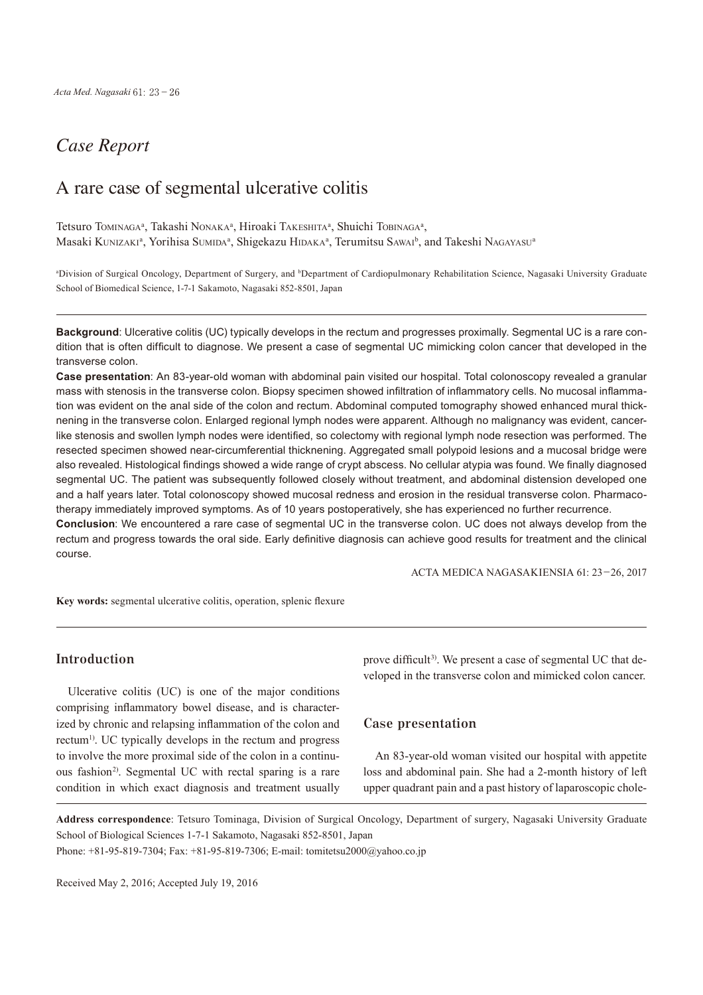# *Case Report*

## A rare case of segmental ulcerative colitis

Tetsuro Tominaga<sup>a</sup>, Takashi Nonaka<sup>a</sup>, Hiroaki Takeshita<sup>a</sup>, Shuichi Tobinaga<sup>a</sup>, Masaki Kunizaki<sup>a</sup>, Yorihisa Sumida<sup>a</sup>, Shigekazu Hidaka<sup>a</sup>, Terumitsu Sawai<sup>b</sup>, and Takeshi Nagayasu<sup>a</sup>

<sup>a</sup>Division of Surgical Oncology, Department of Surgery, and <sup>b</sup>Department of Cardiopulmonary Rehabilitation Science, Nagasaki University Graduate School of Biomedical Science, 1-7-1 Sakamoto, Nagasaki 852-8501, Japan

**Background**: Ulcerative colitis (UC) typically develops in the rectum and progresses proximally. Segmental UC is a rare condition that is often difficult to diagnose. We present a case of segmental UC mimicking colon cancer that developed in the transverse colon.

**Case presentation**: An 83-year-old woman with abdominal pain visited our hospital. Total colonoscopy revealed a granular mass with stenosis in the transverse colon. Biopsy specimen showed infiltration of inflammatory cells. No mucosal inflammation was evident on the anal side of the colon and rectum. Abdominal computed tomography showed enhanced mural thicknening in the transverse colon. Enlarged regional lymph nodes were apparent. Although no malignancy was evident, cancerlike stenosis and swollen lymph nodes were identified, so colectomy with regional lymph node resection was performed. The resected specimen showed near-circumferential thicknening. Aggregated small polypoid lesions and a mucosal bridge were also revealed. Histological findings showed a wide range of crypt abscess. No cellular atypia was found. We finally diagnosed segmental UC. The patient was subsequently followed closely without treatment, and abdominal distension developed one and a half years later. Total colonoscopy showed mucosal redness and erosion in the residual transverse colon. Pharmacotherapy immediately improved symptoms. As of 10 years postoperatively, she has experienced no further recurrence. **Conclusion**: We encountered a rare case of segmental UC in the transverse colon. UC does not always develop from the

rectum and progress towards the oral side. Early definitive diagnosis can achieve good results for treatment and the clinical course.

ACTA MEDICA NAGASAKIENSIA 61: 23−26, 2017

**Key words:** segmental ulcerative colitis, operation, splenic flexure

## **Introduction**

Ulcerative colitis (UC) is one of the major conditions comprising inflammatory bowel disease, and is characterized by chronic and relapsing inflammation of the colon and rectum<sup>1)</sup>. UC typically develops in the rectum and progress to involve the more proximal side of the colon in a continuous fashion<sup>2)</sup>. Segmental UC with rectal sparing is a rare condition in which exact diagnosis and treatment usually

prove difficult<sup>3)</sup>. We present a case of segmental UC that developed in the transverse colon and mimicked colon cancer.

## **Case presentation**

An 83-year-old woman visited our hospital with appetite loss and abdominal pain. She had a 2-month history of left upper quadrant pain and a past history of laparoscopic chole-

**Address correspondence**: Tetsuro Tominaga, Division of Surgical Oncology, Department of surgery, Nagasaki University Graduate School of Biological Sciences 1-7-1 Sakamoto, Nagasaki 852-8501, Japan Phone: +81-95-819-7304; Fax: +81-95-819-7306; E-mail: tomitetsu2000@yahoo.co.jp

Received May 2, 2016; Accepted July 19, 2016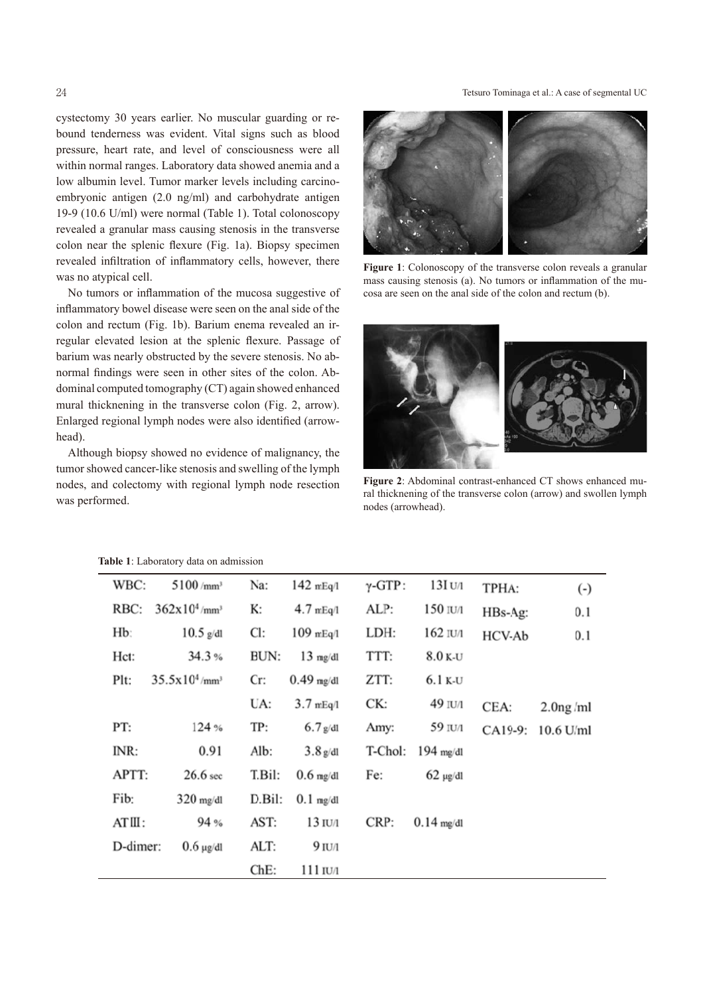#### 24 Tetsuro Tominaga et al.: A case of segmental UC

cystectomy 30 years earlier. No muscular guarding or rebound tenderness was evident. Vital signs such as blood pressure, heart rate, and level of consciousness were all within normal ranges. Laboratory data showed anemia and a low albumin level. Tumor marker levels including carcinoembryonic antigen (2.0 ng/ml) and carbohydrate antigen 19-9 (10.6 U/ml) were normal (Table 1). Total colonoscopy revealed a granular mass causing stenosis in the transverse colon near the splenic flexure (Fig. 1a). Biopsy specimen revealed infiltration of inflammatory cells, however, there was no atypical cell.

No tumors or inflammation of the mucosa suggestive of inflammatory bowel disease were seen on the anal side of the colon and rectum (Fig. 1b). Barium enema revealed an irregular elevated lesion at the splenic flexure. Passage of barium was nearly obstructed by the severe stenosis. No abnormal findings were seen in other sites of the colon. Abdominal computed tomography (CT) again showed enhanced mural thicknening in the transverse colon (Fig. 2, arrow). Enlarged regional lymph nodes were also identified (arrowhead).

Although biopsy showed no evidence of malignancy, the tumor showed cancer-like stenosis and swelling of the lymph nodes, and colectomy with regional lymph node resection was performed.



**Figure 1**: Colonoscopy of the transverse colon reveals a granular mass causing stenosis (a). No tumors or inflammation of the mucosa are seen on the anal side of the colon and rectum (b).



**Figure 2**: Abdominal contrast-enhanced CT shows enhanced mural thicknening of the transverse colon (arrow) and swollen lymph nodes (arrowhead). mph<br>
Figure 2: Abdominal contrast-enhanced<br>
ral thicknening of the transverse colon (as<br>
nodes (arrowhead).

| WBC:     | 5100/mm <sup>3</sup>         | Na:    | $142$ mEq/1          | $\gamma$ -GTP: | 13I U/1       | TPHA:   | $\left( \cdot \right)$ |
|----------|------------------------------|--------|----------------------|----------------|---------------|---------|------------------------|
| RBC:     | $362x10^4$ /mm <sup>3</sup>  | К:     | $4.7 \text{ mEq}$ /1 | ALP:           | 150 IU/1      | HBs-Ag: | 0.1                    |
| Hb:      | $10.5$ g/dl                  | Cl:    | $109$ mEq/l          | LDH:           | 162 IU/1      | HCV-Ab  | 0.1                    |
| Hct:     | 34.3%                        | BUN:   | $13 \text{ mg/dl}$   | TTT:           | $8.0$ K-U     |         |                        |
| Plt:     | $35.5x10^4$ /mm <sup>3</sup> | Cr:    | $0.49$ mg/dl         | ZTT:           | 6.1 k-u       |         |                        |
|          |                              | UA:    | $3.7$ mEq/l          | CK:            | 49 IU/1       | CEA:    | $2.0ng$ /ml            |
| PT:      | 124 %                        | TP:    | $6.7$ g/dl           | Amy:           | 59 IU/1       | CA19-9: | 10.6 U/ml              |
| INR:     | 0.91                         | Alb:   | $3.8$ g/dl           | T-Chol:        | $194$ mg/dl   |         |                        |
| APTT:    | 26.6 <sub>sec</sub>          | T.Bil: | $0.6$ mg/dl          | Fe:            | $62 \mu$ g/dl |         |                        |
| Fib:     | $320$ mg/dl                  | D.Bil: | $0.1$ mg/dl          |                |               |         |                        |
| ATIII :  | 94 %                         | AST:   | $13 \text{ I}$ U/1   | CRP:           | $0.14$ mg/dl  |         |                        |
| D-dimer: | $0.6 \mu$ g/dl               | ALT:   | $9$ IU/1             |                |               |         |                        |
|          |                              | ChE:   | 111 IU/1             |                |               |         |                        |

#### **Table 1**: Laboratory data on admission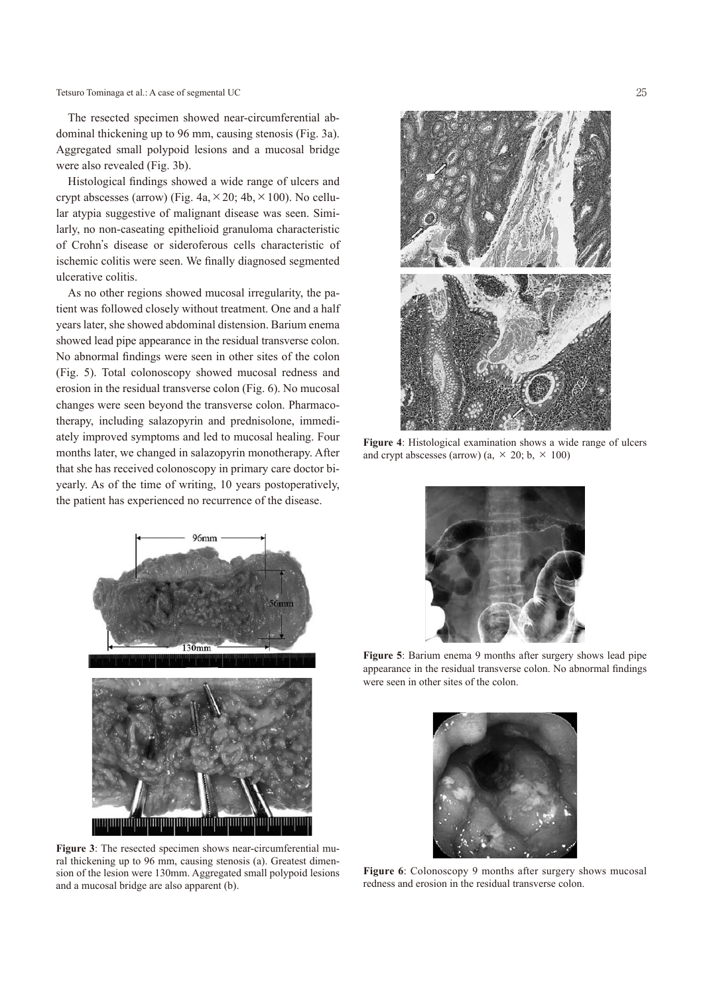Tetsuro Tominaga et al.: A case of segmental UC 25

The resected specimen showed near-circumferential abdominal thickening up to 96 mm, causing stenosis (Fig. 3a). Aggregated small polypoid lesions and a mucosal bridge were also revealed (Fig. 3b).

Histological findings showed a wide range of ulcers and crypt abscesses (arrow) (Fig.  $4a \times 20$ ;  $4b \times 100$ ). No cellular atypia suggestive of malignant disease was seen. Similarly, no non-caseating epithelioid granuloma characteristic of Crohn's disease or sideroferous cells characteristic of ischemic colitis were seen. We finally diagnosed segmented ulcerative colitis.

As no other regions showed mucosal irregularity, the patient was followed closely without treatment. One and a half years later, she showed abdominal distension. Barium enema showed lead pipe appearance in the residual transverse colon. No abnormal findings were seen in other sites of the colon (Fig. 5). Total colonoscopy showed mucosal redness and erosion in the residual transverse colon (Fig. 6). No mucosal changes were seen beyond the transverse colon. Pharmacotherapy, including salazopyrin and prednisolone, immediately improved symptoms and led to mucosal healing. Four months later, we changed in salazopyrin monotherapy. After that she has received colonoscopy in primary care doctor biyearly. As of the time of writing, 10 years postoperatively, the patient has experienced no recurrence of the disease.



**Figure 3**: The resected specimen shows near-circumferential mural thickening up to 96 mm, causing stenosis (a). Greatest dimension of the lesion were 130mm. Aggregated small polypoid lesions and a mucosal bridge are also apparent (b).



**Figure 4**: Histological examination shows a wide range of ulcers and crypt abscesses (arrow) (a,  $\times$  20; b,  $\times$  100)



**Figure 5**: Barium enema 9 months after surgery shows lead pipe appearance in the residual transverse colon. No abnormal findings were seen in other sites of the colon.



**Figure 6**: Colonoscopy 9 months after surgery shows mucosal redness and erosion in the residual transverse colon.